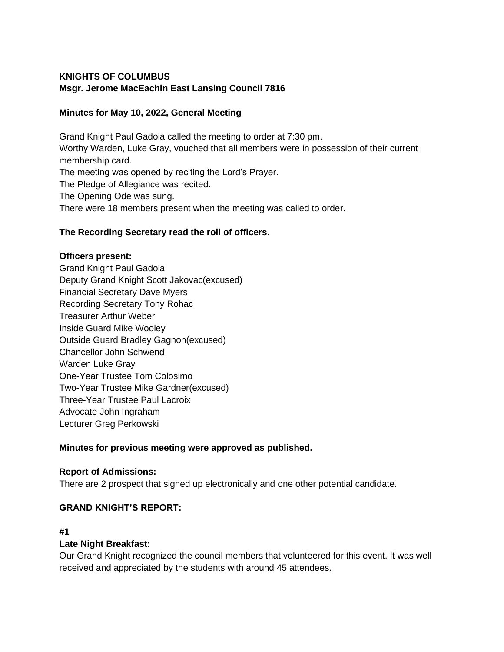# **KNIGHTS OF COLUMBUS Msgr. Jerome MacEachin East Lansing Council 7816**

# **Minutes for May 10, 2022, General Meeting**

Grand Knight Paul Gadola called the meeting to order at 7:30 pm. Worthy Warden, Luke Gray, vouched that all members were in possession of their current membership card. The meeting was opened by reciting the Lord's Prayer. The Pledge of Allegiance was recited. The Opening Ode was sung. There were 18 members present when the meeting was called to order.

# **The Recording Secretary read the roll of officers**.

#### **Officers present:**

Grand Knight Paul Gadola Deputy Grand Knight Scott Jakovac(excused) Financial Secretary Dave Myers Recording Secretary Tony Rohac Treasurer Arthur Weber Inside Guard Mike Wooley Outside Guard Bradley Gagnon(excused) Chancellor John Schwend Warden Luke Gray One-Year Trustee Tom Colosimo Two-Year Trustee Mike Gardner(excused) Three-Year Trustee Paul Lacroix Advocate John Ingraham Lecturer Greg Perkowski

# **Minutes for previous meeting were approved as published.**

# **Report of Admissions:**

There are 2 prospect that signed up electronically and one other potential candidate.

# **GRAND KNIGHT'S REPORT:**

#### **#1**

# **Late Night Breakfast:**

Our Grand Knight recognized the council members that volunteered for this event. It was well received and appreciated by the students with around 45 attendees.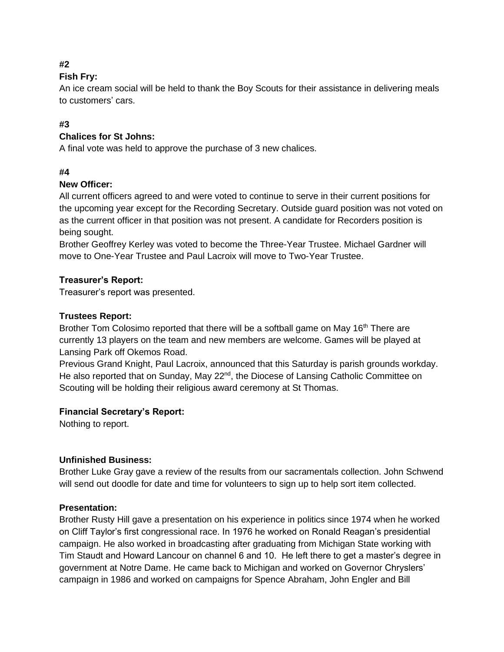# **#2**

# **Fish Fry:**

An ice cream social will be held to thank the Boy Scouts for their assistance in delivering meals to customers' cars.

# **#3**

# **Chalices for St Johns:**

A final vote was held to approve the purchase of 3 new chalices.

# **#4**

# **New Officer:**

All current officers agreed to and were voted to continue to serve in their current positions for the upcoming year except for the Recording Secretary. Outside guard position was not voted on as the current officer in that position was not present. A candidate for Recorders position is being sought.

Brother Geoffrey Kerley was voted to become the Three-Year Trustee. Michael Gardner will move to One-Year Trustee and Paul Lacroix will move to Two-Year Trustee.

# **Treasurer's Report:**

Treasurer's report was presented.

# **Trustees Report:**

Brother Tom Colosimo reported that there will be a softball game on May 16<sup>th</sup> There are currently 13 players on the team and new members are welcome. Games will be played at Lansing Park off Okemos Road.

Previous Grand Knight, Paul Lacroix, announced that this Saturday is parish grounds workday. He also reported that on Sunday, May 22<sup>nd</sup>, the Diocese of Lansing Catholic Committee on Scouting will be holding their religious award ceremony at St Thomas.

# **Financial Secretary's Report:**

Nothing to report.

# **Unfinished Business:**

Brother Luke Gray gave a review of the results from our sacramentals collection. John Schwend will send out doodle for date and time for volunteers to sign up to help sort item collected.

# **Presentation:**

Brother Rusty Hill gave a presentation on his experience in politics since 1974 when he worked on Cliff Taylor's first congressional race. In 1976 he worked on Ronald Reagan's presidential campaign. He also worked in broadcasting after graduating from Michigan State working with Tim Staudt and Howard Lancour on channel 6 and 10. He left there to get a master's degree in government at Notre Dame. He came back to Michigan and worked on Governor Chryslers' campaign in 1986 and worked on campaigns for Spence Abraham, John Engler and Bill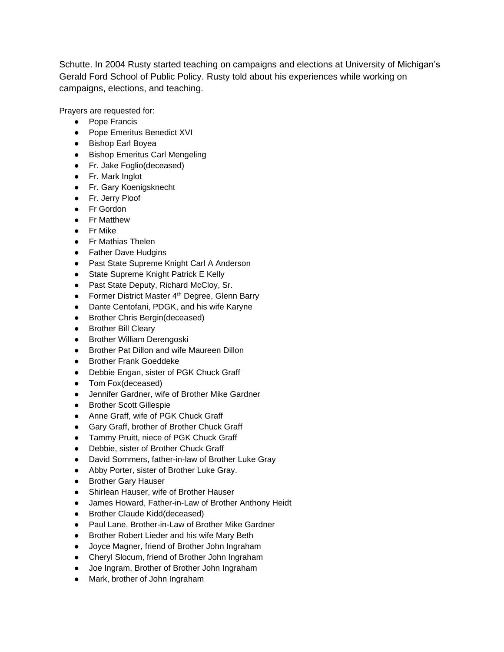Schutte. In 2004 Rusty started teaching on campaigns and elections at University of Michigan's Gerald Ford School of Public Policy. Rusty told about his experiences while working on campaigns, elections, and teaching.

Prayers are requested for:

- Pope Francis
- Pope Emeritus Benedict XVI
- Bishop Earl Boyea
- Bishop Emeritus Carl Mengeling
- Fr. Jake Foglio(deceased)
- Fr. Mark Inglot
- Fr. Gary Koenigsknecht
- Fr. Jerry Ploof
- Fr Gordon
- Fr Matthew
- Fr Mike
- Fr Mathias Thelen
- Father Dave Hudgins
- Past State Supreme Knight Carl A Anderson
- State Supreme Knight Patrick E Kelly
- Past State Deputy, Richard McCloy, Sr.
- Former District Master 4<sup>th</sup> Degree, Glenn Barry
- Dante Centofani, PDGK, and his wife Karyne
- Brother Chris Bergin(deceased)
- Brother Bill Cleary
- Brother William Derengoski
- Brother Pat Dillon and wife Maureen Dillon
- Brother Frank Goeddeke
- Debbie Engan, sister of PGK Chuck Graff
- Tom Fox(deceased)
- Jennifer Gardner, wife of Brother Mike Gardner
- Brother Scott Gillespie
- Anne Graff, wife of PGK Chuck Graff
- Gary Graff, brother of Brother Chuck Graff
- Tammy Pruitt, niece of PGK Chuck Graff
- Debbie, sister of Brother Chuck Graff
- David Sommers, father-in-law of Brother Luke Gray
- Abby Porter, sister of Brother Luke Gray.
- Brother Gary Hauser
- Shirlean Hauser, wife of Brother Hauser
- James Howard, Father-in-Law of Brother Anthony Heidt
- Brother Claude Kidd(deceased)
- Paul Lane, Brother-in-Law of Brother Mike Gardner
- Brother Robert Lieder and his wife Mary Beth
- Joyce Magner, friend of Brother John Ingraham
- Cheryl Slocum, friend of Brother John Ingraham
- Joe Ingram, Brother of Brother John Ingraham
- Mark, brother of John Ingraham